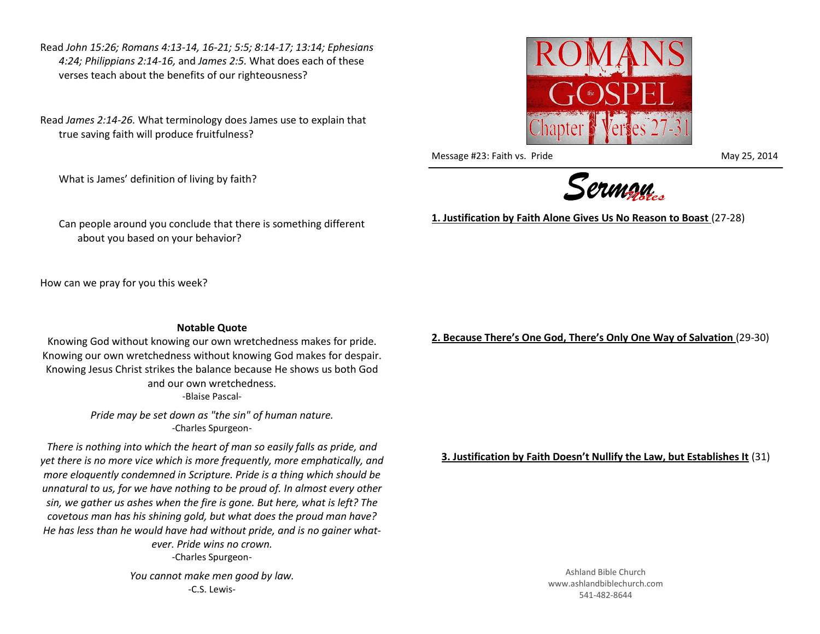Read *John 15:26; Romans 4:13-14, 16-21; 5:5; 8:14-17; 13:14; Ephesians 4:24; Philippians 2:14-16,* and *James 2:5.* What does each of these verses teach about the benefits of our righteousness?

Read *James 2:14-26.* What terminology does James use to explain that true saving faith will produce fruitfulness?

What is James' definition of living by faith?

Can people around you conclude that there is something different about you based on your behavior?

How can we pray for you this week?

## **Notable Quote**

Knowing God without knowing our own wretchedness makes for pride. Knowing our own wretchedness without knowing God makes for despair. Knowing Jesus Christ strikes the balance because He shows us both God and our own wretchedness. -Blaise Pascal-

> *Pride may be set down as "the sin" of human nature.* -Charles Spurgeon-

*There is nothing into which the heart of man so easily falls as pride, and yet there is no more vice which is more frequently, more emphatically, and more eloquently condemned in Scripture. Pride is a thing which should be unnatural to us, for we have nothing to be proud of. In almost every other sin, we gather us ashes when the fire is gone. But here, what is left? The covetous man has his shining gold, but what does the proud man have? He has less than he would have had without pride, and is no gainer whatever. Pride wins no crown.*

-Charles Spurgeon-

*You cannot make men good by law.* -C.S. Lewis**2. Because There's One God, There's Only One Way of Salvation** (29-30)

**3. Justification by Faith Doesn't Nullify the Law, but Establishes It** (31)



Message #23: Faith vs. Pride May 25, 2014



**1. Justification by Faith Alone Gives Us No Reason to Boast** (27-28)

Ashland Bible Church www.ashlandbiblechurch.com 541-482-8644